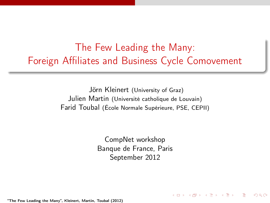The Few Leading the Many: Foreign Affiliates and Business Cycle Comovement

> Jörn Kleinert (University of Graz) Julien Martin (Université catholique de Louvain) Farid Toubal (École Normale Supérieure, PSE, CEPII)

> > CompNet workshop Banque de France, Paris September 2012

> > > $(1,1)$   $(1,1)$   $(1,1)$   $(1,1)$   $(1,1)$   $(1,1)$   $(1,1)$   $(1,1)$   $(1,1)$   $(1,1)$   $(1,1)$   $(1,1)$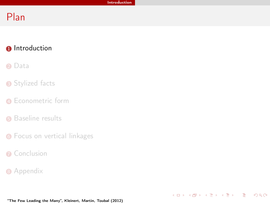<span id="page-1-0"></span>K ロ ▶ K @ ▶ K 할 ▶ K 할 ▶ → 할 → 9 Q @

# Plan

#### **0** [Introduction](#page-1-0)

#### **2** [Data](#page-8-0)

- **3** [Stylized facts](#page-12-0)
- **4** [Econometric form](#page-17-0)
- **6** [Baseline results](#page-20-0)
- **6** [Focus on vertical linkages](#page-23-0)
- **Q** [Conclusion](#page-26-0)
- **8** [Appendix](#page-29-0)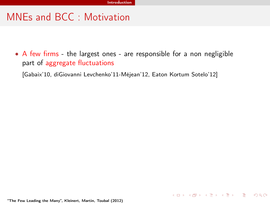## MNEs and BCC : Motivation

• A few firms - the largest ones - are responsible for a non negligible part of aggregate fluctuations

<span id="page-2-0"></span>K ロ ▶ K @ ▶ K 할 ▶ K 할 ▶ → 할 → 9 Q @

[Gabaix'10, diGiovanni Levchenko'11-Méjean'12, Eaton Kortum Sotelo'12]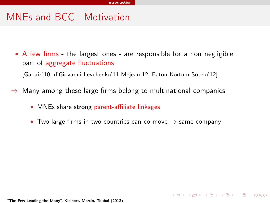## MNEs and BCC : Motivation

• A few firms - the largest ones - are responsible for a non negligible part of aggregate fluctuations

[Gabaix'10, diGiovanni Levchenko'11-Méjean'12, Eaton Kortum Sotelo'12]

- $\Rightarrow$  Many among these large firms belong to multinational companies
	- MNEs share strong parent-affiliate linkages
	- Two large firms in two countries can co-move  $\rightarrow$  same company

<span id="page-3-0"></span>K ロ ▶ K @ ▶ K 할 ▶ K 할 ▶ → 할 → 9 Q @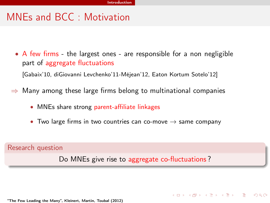## MNEs and BCC : Motivation

• A few firms - the largest ones - are responsible for a non negligible part of aggregate fluctuations

[Gabaix'10, diGiovanni Levchenko'11-Méjean'12, Eaton Kortum Sotelo'12]

- $\Rightarrow$  Many among these large firms belong to multinational companies
	- MNEs share strong parent-affiliate linkages
	- Two large firms in two countries can co-move  $\rightarrow$  same company

Research question

Do MNEs give rise to aggregate co-fluctuations ?

<span id="page-4-0"></span>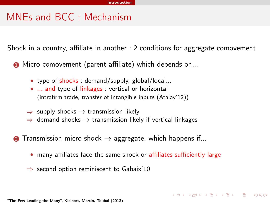## MNEs and BCC : Mechanism

Shock in a country, affiliate in another : 2 conditions for aggregate comovement

**1** Micro comovement (parent-affiliate) which depends on...

- type of shocks : demand/supply, global/local...
- ... and type of linkages : vertical or horizontal (intrafirm trade, transfer of intangible inputs (Atalay'12))
- $\Rightarrow$  supply shocks  $\rightarrow$  transmission likely
- $\Rightarrow$  demand shocks  $\rightarrow$  transmission likely if vertical linkages
- **2** Transmission micro shock  $\rightarrow$  aggregate, which happens if...
	- many affiliates face the same shock or affiliates sufficiently large

<span id="page-5-0"></span>**KOR KORK KERKER SORA** 

 $\Rightarrow$  second option reminiscent to Gabaix'10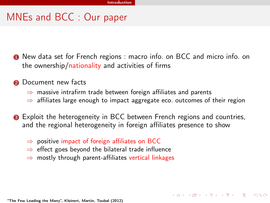## MNEs and BCC : Our paper

- **1** New data set for French regions : macro info. on BCC and micro info. on the ownership/nationality and activities of firms
- **2** Document new facts
	- $\Rightarrow$  massive intrafirm trade between foreign affiliates and parents
	- $\Rightarrow$  affiliates large enough to impact aggregate eco. outcomes of their region

<span id="page-6-0"></span>

- **3** Exploit the heterogeneity in BCC between French regions and countries, and the regional heterogeneity in foreign affiliates presence to show
	- $\Rightarrow$  positive impact of foreign affiliates on BCC
	- $\Rightarrow$  effect goes beyond the bilateral trade influence
	- $\Rightarrow$  mostly through parent-affiliates vertical linkages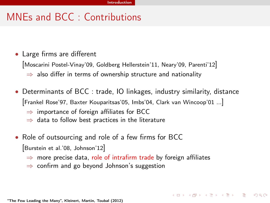## MNEs and BCC : Contributions

- Large firms are different
	- [Moscarini Postel-Vinay'09, Goldberg Hellerstein'11, Neary'09, Parenti'12]
		- $\Rightarrow$  also differ in terms of ownership structure and nationality
- Determinants of BCC : trade, IO linkages, industry similarity, distance [Frankel Rose'97, Baxter Kouparitsas'05, Imbs'04, Clark van Wincoop'01 ...]

<span id="page-7-0"></span>**KOR KORKA ERKER DA GO** 

- $\Rightarrow$  importance of foreign affiliates for BCC
- $\Rightarrow$  data to follow best practices in the literature
- Role of outsourcing and role of a few firms for BCC [Burstein et al.'08, Johnson'12]
	- $\Rightarrow$  more precise data, role of intrafirm trade by foreign affiliates
	- ⇒ confirm and go beyond Johnson's suggestion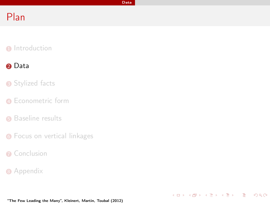<span id="page-8-0"></span>K ロ ▶ K @ ▶ K 할 ▶ K 할 ▶ → 할 → 9 Q @

# Plan

#### **1** [Introduction](#page-1-0)

#### **2** [Data](#page-8-0)

#### **3** [Stylized facts](#page-12-0)

- **4** [Econometric form](#page-17-0)
- **6** [Baseline results](#page-20-0)
- **6** [Focus on vertical linkages](#page-23-0)
- **Q** [Conclusion](#page-26-0)
- **8** [Appendix](#page-29-0)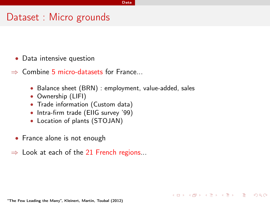#### Dataset : Micro grounds

- Data intensive question
- ⇒ Combine 5 micro-datasets for France...
	- Balance sheet (BRN) : employment, value-added, sales

 $(1 - 4)$  and  $(1 - 4)$  and  $(1 - 4)$  and  $(1 - 4)$  and  $(1 - 4)$  and  $(1 - 4)$  and  $(1 - 4)$  and  $(1 - 4)$  and  $(1 - 4)$  and  $(1 - 4)$  and  $(1 - 4)$  and  $(1 - 4)$  and  $(1 - 4)$  and  $(1 - 4)$  and  $(1 - 4)$  and  $(1 - 4)$  and  $(1 - 4)$  and

<span id="page-9-0"></span> $\Omega$ 

- Ownership (LIFI)
- Trade information (Custom data)
- Intra-firm trade (EIIG survey '99)
- Location of plants (STOJAN)
- France alone is not enough
- $\Rightarrow$  Look at each of the 21 French regions...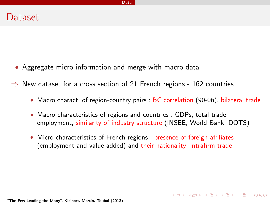- Aggregate micro information and merge with macro data
- $\Rightarrow$  New dataset for a cross section of 21 French regions 162 countries

• Macro charact. of region-country pairs : BC correlation (90-06), bilateral trade

 $A \cap B \rightarrow A \cap B \rightarrow A \cap B \rightarrow A \cap B \rightarrow A \cap B$ 

<span id="page-10-0"></span> $\Omega$ 

- Macro characteristics of regions and countries : GDPs, total trade, employment, similarity of industry structure (INSEE, World Bank, DOTS)
- Micro characteristics of French regions : presence of foreign affiliates (employment and value added) and their nationality, intrafirm trade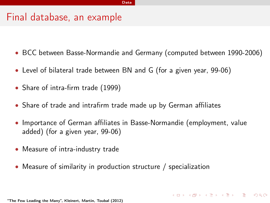### Final database, an example

- BCC between Basse-Normandie and Germany (computed between 1990-2006)
- Level of bilateral trade between BN and G (for a given year, 99-06)
- Share of intra-firm trade (1999)
- Share of trade and intrafirm trade made up by German affiliates
- Importance of German affiliates in Basse-Normandie (employment, value added) (for a given year, 99-06)

<span id="page-11-0"></span> $\Omega$ 

- Measure of intra-industry trade
- Measure of similarity in production structure / specialization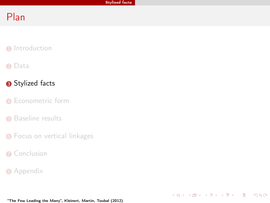<span id="page-12-0"></span>K ロ ▶ K 個 ▶ K 할 > K 할 > 1 할 > 1 이익단

# Plan

#### **1** [Introduction](#page-1-0)

#### 2 [Data](#page-8-0)

#### **3** [Stylized facts](#page-12-0)

- **4** [Econometric form](#page-17-0)
- **6** [Baseline results](#page-20-0)
- **6** [Focus on vertical linkages](#page-23-0)
- **Q** [Conclusion](#page-26-0)
- **8** [Appendix](#page-29-0)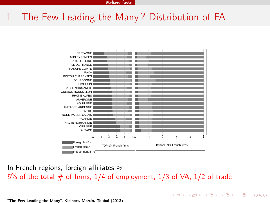# 1 - The Few Leading the Many ? Distribution of FA



In French regions, foreign affiliates  $\approx$ 5% of the total  $#$  of firms, 1/4 of employment, 1/3 of VA, 1/2 of trade

 $A \cup B \cup A \cup B \cup A \cup B \cup A \cup B \cup B \cup B$ 

<span id="page-13-0"></span> $QQ$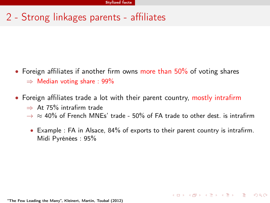# 2 - Strong linkages parents - affiliates

- Foreign affiliates if another firm owns more than 50% of voting shares  $\Rightarrow$  Median voting share : 99%
- Foreign affiliates trade a lot with their parent country, mostly intrafirm
	- $\Rightarrow$  At 75% intrafirm trade
	- $\rightarrow \approx 40\%$  of French MNEs' trade 50% of FA trade to other dest. is intrafirm
		- Example : FA in Alsace, 84% of exports to their parent country is intrafirm. Midi Pyrénées : 95%

 $A \cap B \rightarrow A \cap B \rightarrow A \cap B \rightarrow A \cap B \rightarrow A \cap B$ 

<span id="page-14-0"></span> $\Omega$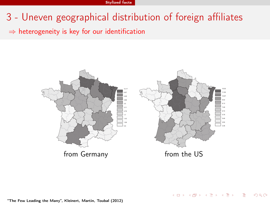- 3 Uneven geographical distribution of foreign affiliates
- $\Rightarrow$  heterogeneity is key for our identification



イロト イ部 トイモト イモト

<span id="page-15-0"></span> $QQ$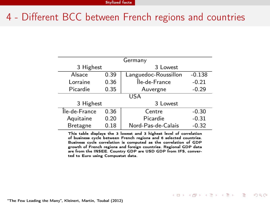## 4 - Different BCC between French regions and countries

| Germany          |      |                      |          |  |  |  |
|------------------|------|----------------------|----------|--|--|--|
| 3 Highest        |      | 3 Lowest             |          |  |  |  |
| Alsace           | 0.39 | Languedoc-Roussillon | $-0.138$ |  |  |  |
| Lorraine         | 0.36 | Île-de-France        | $-0.21$  |  |  |  |
| Picardie<br>0.35 |      | Auvergne             | $-0.29$  |  |  |  |
|                  | USA  |                      |          |  |  |  |
| 3 Highest        |      | 3 Lowest             |          |  |  |  |
| Île-de-France    | 0.36 | Centre               | $-0.30$  |  |  |  |
| Aquitaine        | 0.20 | Picardie             | $-0.31$  |  |  |  |
| <b>Bretagne</b>  | 0.18 | Nord-Pas-de-Calais   | $-0.32$  |  |  |  |

This table displays the 3 lowest and 3 highest level of correlation of business cycle between French regions and 6 selected countries. Business cycle correlation is computed as the correlation of GDP growth of French regions and foreign countries. Regional GDP data are from the INSEE. Country GDP are USD GDP from IFS, converted to Euro using Compustat data.

イロト 不優 ト 不重 ト 不重 トー 重

<span id="page-16-0"></span> $\Omega$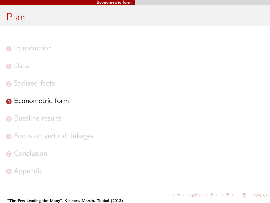<span id="page-17-0"></span>K ロ ▶ K @ ▶ K 할 ▶ K 할 ▶ → 할 → 9 Q @

# Plan

- **1** [Introduction](#page-1-0)
- **2** [Data](#page-8-0)
- **3** [Stylized facts](#page-12-0)

#### **4** [Econometric form](#page-17-0)

- **6** [Baseline results](#page-20-0)
- **6** [Focus on vertical linkages](#page-23-0)
- **Q** [Conclusion](#page-26-0)
- **8** [Appendix](#page-29-0)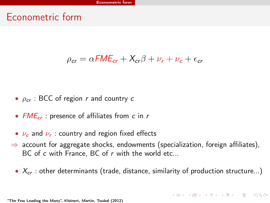### Econometric form

#### $\rho_{cr} = \alpha FME_{cr} + X_{cr}\beta + \nu_r + \nu_c + \epsilon_{cr}$

- $\rho_{cr}$  : BCC of region r and country c
- $FME_{cr}$ : presence of affiliates from c in r
- $\bullet$   $\nu_c$  and  $\nu_r$  : country and region fixed effects
- $\Rightarrow$  account for aggregate shocks, endowments (specialization, foreign affiliates), BC of c with France, BC of r with the world etc...
	- $X_{cr}$ : other determinants (trade, distance, similarity of production structure...)

<span id="page-18-0"></span>**KOR KAR KERKER EL KORO**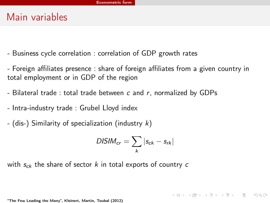#### Main variables

- Business cycle correlation : correlation of GDP growth rates
- Foreign affiliates presence : share of foreign affiliates from a given country in total employment or in GDP of the region
- Bilateral trade : total trade between c and r, normalized by GDPs
- Intra-industry trade : Grubel Lloyd index
- (dis-) Similarity of specialization (industry  $k$ )

$$
DISIM_{cr} = \sum_{k} |s_{ck} - s_{rk}|
$$

<span id="page-19-0"></span>**KORK REPARE PROGRAM** 

with  $s_{ck}$  the share of sector k in total exports of country c

<sup>&</sup>quot;The Few Leading the Many", Kleinert, Martin, Toubal (2012)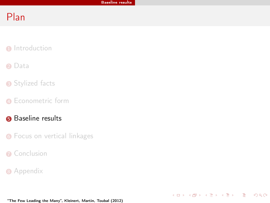<span id="page-20-0"></span>K ロ ▶ K @ ▶ K 할 ▶ K 할 ▶ → 할 → 9 Q @

# Plan

- **1** [Introduction](#page-1-0)
- 2 [Data](#page-8-0)
- **3** [Stylized facts](#page-12-0)
- **4** [Econometric form](#page-17-0)
- **6** [Baseline results](#page-20-0)
- **6** [Focus on vertical linkages](#page-23-0)
- **Q** [Conclusion](#page-26-0)
- **8** [Appendix](#page-29-0)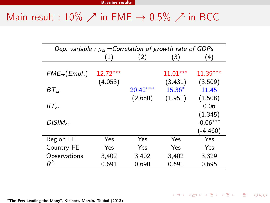# Main result : 10%  $\nearrow$  in FME  $\rightarrow$  0.5%  $\nearrow$  in BCC

<span id="page-21-0"></span>

| Dep. variable : $\rho_{cr}$ = Correlation of growth rate of GDPs |                       |            |                       |                       |  |  |  |  |
|------------------------------------------------------------------|-----------------------|------------|-----------------------|-----------------------|--|--|--|--|
|                                                                  | (1)                   | (2)        | (3)                   | (4)                   |  |  |  |  |
| $FME_{cr}(Empl.)$                                                | $12.72***$<br>(4.053) |            | $11.01***$<br>(3.431) | $11.39***$<br>(3.509) |  |  |  |  |
| $BT_{cr}$                                                        |                       | $20.42***$ | $15.36*$              | 11.45                 |  |  |  |  |
| $IIT_{cr}$                                                       |                       | (2.680)    | (1.951)               | (1.508)<br>0.06       |  |  |  |  |
| $DISIM_{cr}$                                                     |                       |            |                       | (1.345)<br>$-0.06***$ |  |  |  |  |
|                                                                  |                       |            |                       | $(-4.460)$            |  |  |  |  |
| Region FE                                                        | Yes                   | Yes        | Yes                   | Yes                   |  |  |  |  |
| Country FE                                                       | Yes                   | Yes        | Yes                   | Yes                   |  |  |  |  |
| Observations                                                     | 3,402                 | 3,402      | 3,402                 | 3,329                 |  |  |  |  |
| $R^2$                                                            | 0.691                 | 0.690      | 0.691                 | 0.695                 |  |  |  |  |
|                                                                  |                       |            |                       |                       |  |  |  |  |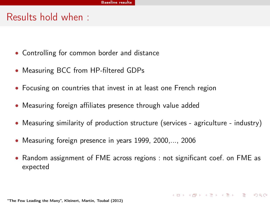## Results hold when :

- Controlling for common border and distance
- Measuring BCC from HP-filtered GDPs
- Focusing on countries that invest in at least one French region
- Measuring foreign affiliates presence through value added
- Measuring similarity of production structure (services agriculture industry)
- Measuring foreign presence in years 1999, 2000,..., 2006
- <span id="page-22-0"></span>• Random assignment of FME across regions : not significant coef. on FME as expected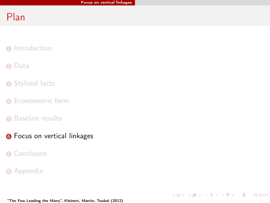<span id="page-23-0"></span>K ロ ▶ K @ ▶ K 할 ▶ K 할 ▶ → 할 → 9 Q @

# Plan

- **1** [Introduction](#page-1-0)
- 2 [Data](#page-8-0)
- **3** [Stylized facts](#page-12-0)
- **4** [Econometric form](#page-17-0)
- **6** [Baseline results](#page-20-0)
- **6** [Focus on vertical linkages](#page-23-0)
- **Q** [Conclusion](#page-26-0)
- **8** [Appendix](#page-29-0)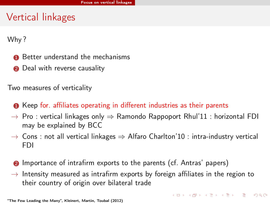## Vertical linkages

Why ?

- **1** Better understand the mechanisms
- **2** Deal with reverse causality

Two measures of verticality

- Keep for. affiliates operating in different industries as their parents
- $\rightarrow$  Pro : vertical linkages only  $\Rightarrow$  Ramondo Rappoport Rhul'11 : horizontal FDI may be explained by BCC
- $\rightarrow$  Cons : not all vertical linkages  $\Rightarrow$  Alfaro Charlton'10 : intra-industry vertical FDI
- <span id="page-24-0"></span>**2** Importance of intrafirm exports to the parents (cf. Antras' papers)
- $\rightarrow$  Intensity measured as intrafirm exports by foreign affiliates in the region to their country of origin over bilateral trade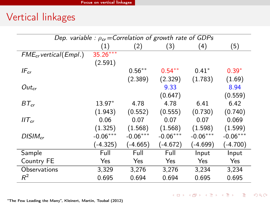# Vertical linkages

<span id="page-25-0"></span>

| Dep. variable : $\rho_{cr}$ = Correlation of growth rate of GDPs |                   |            |            |            |            |  |  |
|------------------------------------------------------------------|-------------------|------------|------------|------------|------------|--|--|
|                                                                  | $\left( 1\right)$ | (2)        | (3)        | (4)        | (5)        |  |  |
| $FME_{cr}$ vertical (Empl.)                                      | $35.26***$        |            |            |            |            |  |  |
|                                                                  | (2.591)           |            |            |            |            |  |  |
| $IF_{cr}$                                                        |                   | $0.56***$  | $0.54***$  | $0.41*$    | $0.39*$    |  |  |
|                                                                  |                   | (2.389)    | (2.329)    | (1.783)    | (1.69)     |  |  |
| $Out_{cr}$                                                       |                   |            | 9.33       |            | 8.94       |  |  |
|                                                                  |                   |            | (0.647)    |            | (0.559)    |  |  |
| $BT_{cr}$                                                        | 13.97*            | 4.78       | 4.78       | 6.41       | 6.42       |  |  |
|                                                                  | (1.943)           | (0.552)    | (0.555)    | (0.730)    | (0.740)    |  |  |
| $IIT_{cr}$                                                       | 0.06              | 0.07       | 0.07       | 0.07       | 0.069      |  |  |
|                                                                  | (1.325)           | (1.568)    | (1.568)    | (1.598)    | (1.599)    |  |  |
| $DISIM_{cr}$                                                     | $-0.06***$        | $-0.06***$ | $-0.06***$ | $-0.06***$ | $-0.06***$ |  |  |
|                                                                  | $(-4.325)$        | $(-4.665)$ | (-4.672)   | $(-4.699)$ | $(-4.700)$ |  |  |
| Sample                                                           | Full              | Full       | Full       | Input      | Input      |  |  |
| Country FE                                                       | Yes               | Yes        | Yes        | Yes        | Yes        |  |  |
| Observations                                                     | 3,329             | 3,276      | 3,276      | 3,234      | 3,234      |  |  |
| $R^2$                                                            | 0.695             | 0.694      | 0.694      | 0.695      | 0.695      |  |  |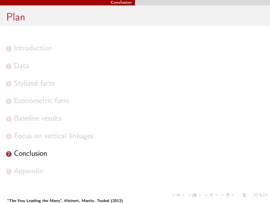<span id="page-26-0"></span>K ロ ▶ K @ ▶ K 할 ▶ K 할 ▶ → 할 → 9 Q @

# Plan

- **1** [Introduction](#page-1-0)
- 2 [Data](#page-8-0)
- **3** [Stylized facts](#page-12-0)
- **4** [Econometric form](#page-17-0)
- **6** [Baseline results](#page-20-0)
- **6** [Focus on vertical linkages](#page-23-0)
- **O** [Conclusion](#page-26-0)
- **8** [Appendix](#page-29-0)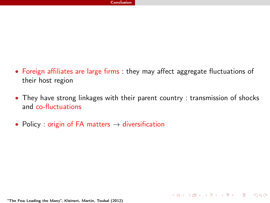- Foreign affiliates are large firms : they may affect aggregate fluctuations of their host region
- They have strong linkages with their parent country : transmission of shocks and co-fluctuations

<span id="page-27-0"></span>**KOD KARD KED KED E VOOR** 

• Policy : origin of FA matters  $\rightarrow$  diversification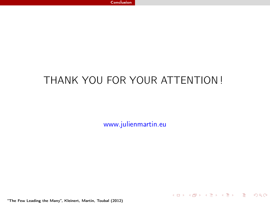# THANK YOU FOR YOUR ATTENTION !

www.julienmartin.eu

<span id="page-28-0"></span>K ロ ▶ K @ ▶ K 할 ▶ K 할 ▶ → 할 → 9 Q @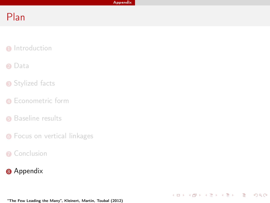<span id="page-29-0"></span>K ロ ▶ K @ ▶ K 할 ▶ K 할 ▶ → 할 → 9 Q @

# Plan

- **1** [Introduction](#page-1-0)
- 2 [Data](#page-8-0)
- **3** [Stylized facts](#page-12-0)
- **4** [Econometric form](#page-17-0)
- **6** [Baseline results](#page-20-0)
- **6** [Focus on vertical linkages](#page-23-0)
- **Q** [Conclusion](#page-26-0)
- **8** [Appendix](#page-29-0)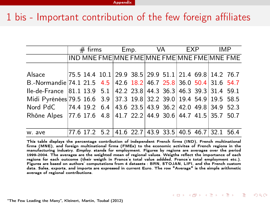## 1 bis - Important contribution of the few foreign affiliates

|                                                                     | $\#$ firms |  |  | Emp. |  | VA EXP |  |  |  | IMP.                                                                  |  |
|---------------------------------------------------------------------|------------|--|--|------|--|--------|--|--|--|-----------------------------------------------------------------------|--|
|                                                                     |            |  |  |      |  |        |  |  |  | IND MNE FME MNE FME MNE FME MNE FME MNE FME                           |  |
|                                                                     |            |  |  |      |  |        |  |  |  |                                                                       |  |
| Alsace                                                              |            |  |  |      |  |        |  |  |  | $ 75.5 \t14.4 \t10.1 29.9 \t38.5 29.9 \t51.1 21.4 \t69.8 14.2 \t76.7$ |  |
| B.-Normandie 74.1 21.5 4.5 42.6 18.2 46.7 25.8 36.0 50.4 31.6 54.7  |            |  |  |      |  |        |  |  |  |                                                                       |  |
| Ile-de-France 81.1 13.9 5.1 42.2 23.8 44.3 36.3 46.3 39.3 31.4 59.1 |            |  |  |      |  |        |  |  |  |                                                                       |  |
| Midi Pyrénées 79.5 16.6 3.9 37.3 19.8 32.2 39.0 19.4 54.9 19.5 58.5 |            |  |  |      |  |        |  |  |  |                                                                       |  |
| Nord PdC 74.4 19.2 6.4 43.6 23.5 43.9 36.2 42.0 49.8 34.9 52.3      |            |  |  |      |  |        |  |  |  |                                                                       |  |
| Rhône Alpes 77.6 17.6 4.8 41.7 22.2 44.9 30.6 44.7 41.5 35.7 50.7   |            |  |  |      |  |        |  |  |  |                                                                       |  |
|                                                                     |            |  |  |      |  |        |  |  |  |                                                                       |  |
| w. ave                                                              |            |  |  |      |  |        |  |  |  | 77.6 17.2 5.2 41.6 22.7 43.9 33.5 40.5 46.7 32.1 56.4                 |  |

<span id="page-30-0"></span>This table displays the percentage contribution of independent French firms (IND), French multinational firms (MNE), and foreign multinational firms (FMEs) to the economic activites of French regions in the manufacturing industry. Employ. stands for employment. Figures by regions are averages over the period 1999-2004. The averages are the weighted mean of regional values. Weigths reflect the importance of each regions for each outcome (their weigth in France's total value addded, France's total employment etc.). Figures are based on authors' computations from 4 datasets : BRN, STOJAN, LIFI, and the French custom data. Sales, exports, and imports are expressed in current Euro. The row "Average" is the simple arithmetic average of regional contributions.